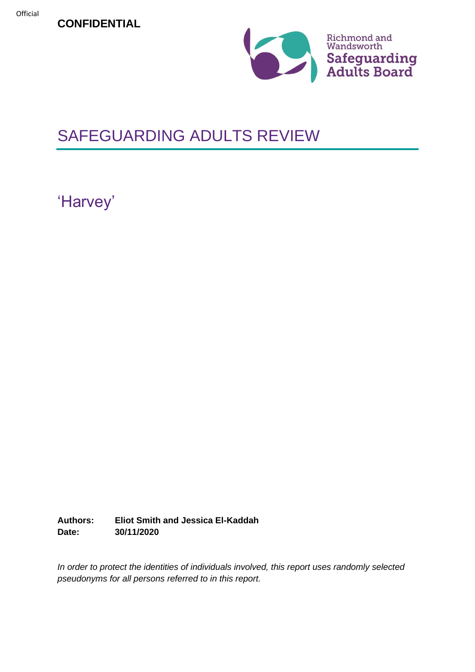**CONFIDENTIAL**



# SAFEGUARDING ADULTS REVIEW

'Harvey'

**Authors: Eliot Smith and Jessica El-Kaddah Date: 30/11/2020**

*In order to protect the identities of individuals involved, this report uses randomly selected pseudonyms for all persons referred to in this report.*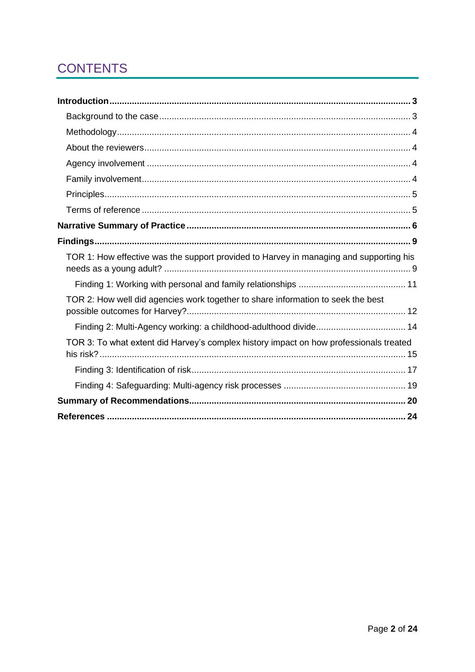# **CONTENTS**

| TOR 1: How effective was the support provided to Harvey in managing and supporting his |  |
|----------------------------------------------------------------------------------------|--|
|                                                                                        |  |
| TOR 2: How well did agencies work together to share information to seek the best       |  |
|                                                                                        |  |
| TOR 3: To what extent did Harvey's complex history impact on how professionals treated |  |
|                                                                                        |  |
|                                                                                        |  |
|                                                                                        |  |
|                                                                                        |  |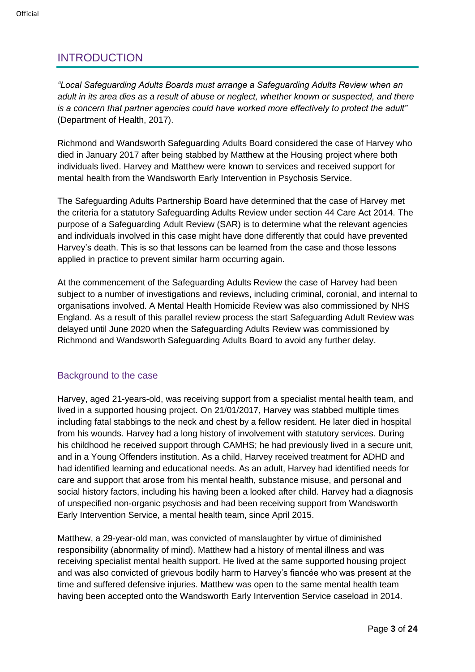# <span id="page-2-0"></span>INTRODUCTION

*"Local Safeguarding Adults Boards must arrange a Safeguarding Adults Review when an adult in its area dies as a result of abuse or neglect, whether known or suspected, and there is a concern that partner agencies could have worked more effectively to protect the adult"* (Department of Health, 2017).

Richmond and Wandsworth Safeguarding Adults Board considered the case of Harvey who died in January 2017 after being stabbed by Matthew at the Housing project where both individuals lived. Harvey and Matthew were known to services and received support for mental health from the Wandsworth Early Intervention in Psychosis Service.

The Safeguarding Adults Partnership Board have determined that the case of Harvey met the criteria for a statutory Safeguarding Adults Review under section 44 Care Act 2014. The purpose of a Safeguarding Adult Review (SAR) is to determine what the relevant agencies and individuals involved in this case might have done differently that could have prevented Harvey's death. This is so that lessons can be learned from the case and those lessons applied in practice to prevent similar harm occurring again.

At the commencement of the Safeguarding Adults Review the case of Harvey had been subject to a number of investigations and reviews, including criminal, coronial, and internal to organisations involved. A Mental Health Homicide Review was also commissioned by NHS England. As a result of this parallel review process the start Safeguarding Adult Review was delayed until June 2020 when the Safeguarding Adults Review was commissioned by Richmond and Wandsworth Safeguarding Adults Board to avoid any further delay.

# <span id="page-2-1"></span>Background to the case

Harvey, aged 21-years-old, was receiving support from a specialist mental health team, and lived in a supported housing project. On 21/01/2017, Harvey was stabbed multiple times including fatal stabbings to the neck and chest by a fellow resident. He later died in hospital from his wounds. Harvey had a long history of involvement with statutory services. During his childhood he received support through CAMHS; he had previously lived in a secure unit, and in a Young Offenders institution. As a child, Harvey received treatment for ADHD and had identified learning and educational needs. As an adult, Harvey had identified needs for care and support that arose from his mental health, substance misuse, and personal and social history factors, including his having been a looked after child. Harvey had a diagnosis of unspecified non-organic psychosis and had been receiving support from Wandsworth Early Intervention Service, a mental health team, since April 2015.

Matthew, a 29-year-old man, was convicted of manslaughter by virtue of diminished responsibility (abnormality of mind). Matthew had a history of mental illness and was receiving specialist mental health support. He lived at the same supported housing project and was also convicted of grievous bodily harm to Harvey's fiancée who was present at the time and suffered defensive injuries. Matthew was open to the same mental health team having been accepted onto the Wandsworth Early Intervention Service caseload in 2014.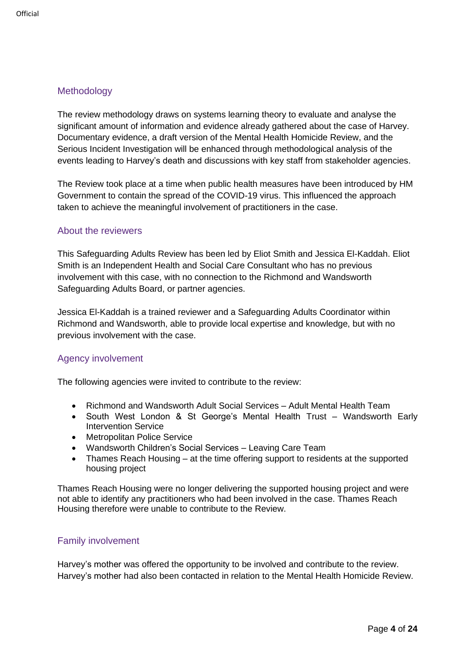# <span id="page-3-0"></span>Methodology

The review methodology draws on systems learning theory to evaluate and analyse the significant amount of information and evidence already gathered about the case of Harvey. Documentary evidence, a draft version of the Mental Health Homicide Review, and the Serious Incident Investigation will be enhanced through methodological analysis of the events leading to Harvey's death and discussions with key staff from stakeholder agencies.

The Review took place at a time when public health measures have been introduced by HM Government to contain the spread of the COVID-19 virus. This influenced the approach taken to achieve the meaningful involvement of practitioners in the case.

## <span id="page-3-1"></span>About the reviewers

This Safeguarding Adults Review has been led by Eliot Smith and Jessica El-Kaddah. Eliot Smith is an Independent Health and Social Care Consultant who has no previous involvement with this case, with no connection to the Richmond and Wandsworth Safeguarding Adults Board, or partner agencies.

Jessica El-Kaddah is a trained reviewer and a Safeguarding Adults Coordinator within Richmond and Wandsworth, able to provide local expertise and knowledge, but with no previous involvement with the case.

# <span id="page-3-2"></span>Agency involvement

The following agencies were invited to contribute to the review:

- Richmond and Wandsworth Adult Social Services Adult Mental Health Team
- South West London & St George's Mental Health Trust Wandsworth Early Intervention Service
- Metropolitan Police Service
- Wandsworth Children's Social Services Leaving Care Team
- Thames Reach Housing at the time offering support to residents at the supported housing project

Thames Reach Housing were no longer delivering the supported housing project and were not able to identify any practitioners who had been involved in the case. Thames Reach Housing therefore were unable to contribute to the Review.

#### <span id="page-3-3"></span>Family involvement

Harvey's mother was offered the opportunity to be involved and contribute to the review. Harvey's mother had also been contacted in relation to the Mental Health Homicide Review.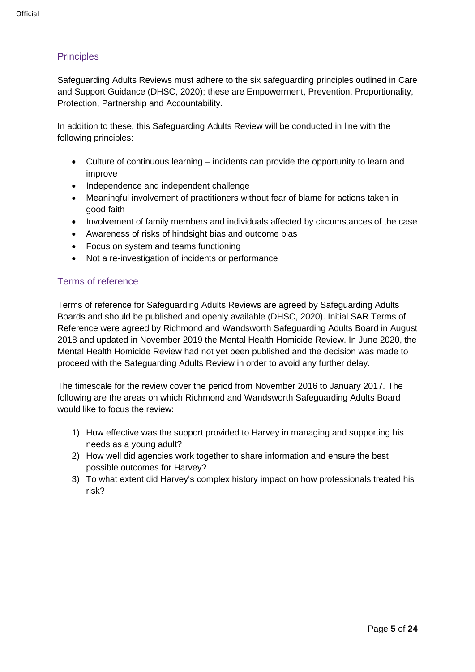# <span id="page-4-0"></span>**Principles**

Safeguarding Adults Reviews must adhere to the six safeguarding principles outlined in Care and Support Guidance (DHSC, 2020); these are Empowerment, Prevention, Proportionality, Protection, Partnership and Accountability.

In addition to these, this Safeguarding Adults Review will be conducted in line with the following principles:

- Culture of continuous learning incidents can provide the opportunity to learn and improve
- Independence and independent challenge
- Meaningful involvement of practitioners without fear of blame for actions taken in good faith
- Involvement of family members and individuals affected by circumstances of the case
- Awareness of risks of hindsight bias and outcome bias
- Focus on system and teams functioning
- Not a re-investigation of incidents or performance

# <span id="page-4-1"></span>Terms of reference

Terms of reference for Safeguarding Adults Reviews are agreed by Safeguarding Adults Boards and should be published and openly available (DHSC, 2020). Initial SAR Terms of Reference were agreed by Richmond and Wandsworth Safeguarding Adults Board in August 2018 and updated in November 2019 the Mental Health Homicide Review. In June 2020, the Mental Health Homicide Review had not yet been published and the decision was made to proceed with the Safeguarding Adults Review in order to avoid any further delay.

The timescale for the review cover the period from November 2016 to January 2017. The following are the areas on which Richmond and Wandsworth Safeguarding Adults Board would like to focus the review:

- 1) How effective was the support provided to Harvey in managing and supporting his needs as a young adult?
- 2) How well did agencies work together to share information and ensure the best possible outcomes for Harvey?
- 3) To what extent did Harvey's complex history impact on how professionals treated his risk?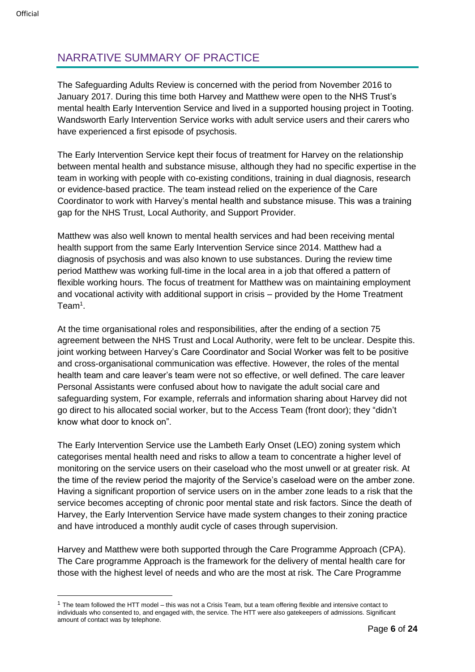# <span id="page-5-0"></span>NARRATIVE SUMMARY OF PRACTICE

The Safeguarding Adults Review is concerned with the period from November 2016 to January 2017. During this time both Harvey and Matthew were open to the NHS Trust's mental health Early Intervention Service and lived in a supported housing project in Tooting. Wandsworth Early Intervention Service works with adult service users and their carers who have experienced a first episode of psychosis.

The Early Intervention Service kept their focus of treatment for Harvey on the relationship between mental health and substance misuse, although they had no specific expertise in the team in working with people with co-existing conditions, training in dual diagnosis, research or evidence-based practice. The team instead relied on the experience of the Care Coordinator to work with Harvey's mental health and substance misuse. This was a training gap for the NHS Trust, Local Authority, and Support Provider.

Matthew was also well known to mental health services and had been receiving mental health support from the same Early Intervention Service since 2014. Matthew had a diagnosis of psychosis and was also known to use substances. During the review time period Matthew was working full-time in the local area in a job that offered a pattern of flexible working hours. The focus of treatment for Matthew was on maintaining employment and vocational activity with additional support in crisis – provided by the Home Treatment Team<sup>1</sup>.

At the time organisational roles and responsibilities, after the ending of a section 75 agreement between the NHS Trust and Local Authority, were felt to be unclear. Despite this. joint working between Harvey's Care Coordinator and Social Worker was felt to be positive and cross-organisational communication was effective. However, the roles of the mental health team and care leaver's team were not so effective, or well defined. The care leaver Personal Assistants were confused about how to navigate the adult social care and safeguarding system, For example, referrals and information sharing about Harvey did not go direct to his allocated social worker, but to the Access Team (front door); they "didn't know what door to knock on".

The Early Intervention Service use the Lambeth Early Onset (LEO) zoning system which categorises mental health need and risks to allow a team to concentrate a higher level of monitoring on the service users on their caseload who the most unwell or at greater risk. At the time of the review period the majority of the Service's caseload were on the amber zone. Having a significant proportion of service users on in the amber zone leads to a risk that the service becomes accepting of chronic poor mental state and risk factors. Since the death of Harvey, the Early Intervention Service have made system changes to their zoning practice and have introduced a monthly audit cycle of cases through supervision.

Harvey and Matthew were both supported through the Care Programme Approach (CPA). The Care programme Approach is the framework for the delivery of mental health care for those with the highest level of needs and who are the most at risk. The Care Programme

 $1$  The team followed the HTT model – this was not a Crisis Team, but a team offering flexible and intensive contact to individuals who consented to, and engaged with, the service. The HTT were also gatekeepers of admissions. Significant amount of contact was by telephone.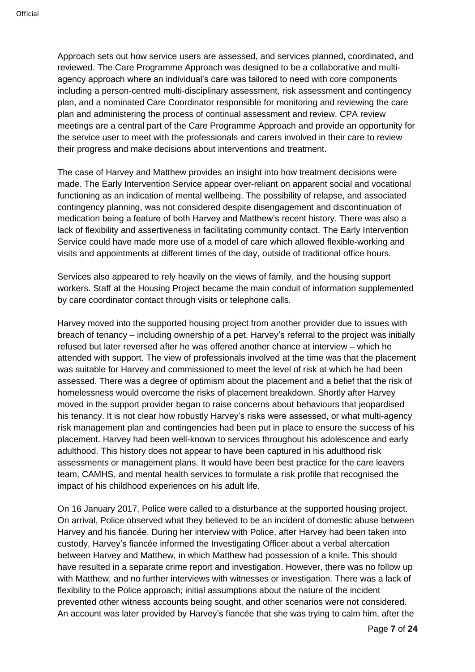Approach sets out how service users are assessed, and services planned, coordinated, and reviewed. The Care Programme Approach was designed to be a collaborative and multiagency approach where an individual's care was tailored to need with core components including a person-centred multi-disciplinary assessment, risk assessment and contingency plan, and a nominated Care Coordinator responsible for monitoring and reviewing the care plan and administering the process of continual assessment and review. CPA review meetings are a central part of the Care Programme Approach and provide an opportunity for the service user to meet with the professionals and carers involved in their care to review their progress and make decisions about interventions and treatment.

The case of Harvey and Matthew provides an insight into how treatment decisions were made. The Early Intervention Service appear over-reliant on apparent social and vocational functioning as an indication of mental wellbeing. The possibility of relapse, and associated contingency planning, was not considered despite disengagement and discontinuation of medication being a feature of both Harvey and Matthew's recent history. There was also a lack of flexibility and assertiveness in facilitating community contact. The Early Intervention Service could have made more use of a model of care which allowed flexible-working and visits and appointments at different times of the day, outside of traditional office hours.

Services also appeared to rely heavily on the views of family, and the housing support workers. Staff at the Housing Project became the main conduit of information supplemented by care coordinator contact through visits or telephone calls.

Harvey moved into the supported housing project from another provider due to issues with breach of tenancy – including ownership of a pet. Harvey's referral to the project was initially refused but later reversed after he was offered another chance at interview – which he attended with support. The view of professionals involved at the time was that the placement was suitable for Harvey and commissioned to meet the level of risk at which he had been assessed. There was a degree of optimism about the placement and a belief that the risk of homelessness would overcome the risks of placement breakdown. Shortly after Harvey moved in the support provider began to raise concerns about behaviours that jeopardised his tenancy. It is not clear how robustly Harvey's risks were assessed, or what multi-agency risk management plan and contingencies had been put in place to ensure the success of his placement. Harvey had been well-known to services throughout his adolescence and early adulthood. This history does not appear to have been captured in his adulthood risk assessments or management plans. It would have been best practice for the care leavers team, CAMHS, and mental health services to formulate a risk profile that recognised the impact of his childhood experiences on his adult life.

On 16 January 2017, Police were called to a disturbance at the supported housing project. On arrival, Police observed what they believed to be an incident of domestic abuse between Harvey and his fiancée. During her interview with Police, after Harvey had been taken into custody, Harvey's fiancée informed the Investigating Officer about a verbal altercation between Harvey and Matthew, in which Matthew had possession of a knife. This should have resulted in a separate crime report and investigation. However, there was no follow up with Matthew, and no further interviews with witnesses or investigation. There was a lack of flexibility to the Police approach; initial assumptions about the nature of the incident prevented other witness accounts being sought, and other scenarios were not considered. An account was later provided by Harvey's fiancée that she was trying to calm him, after the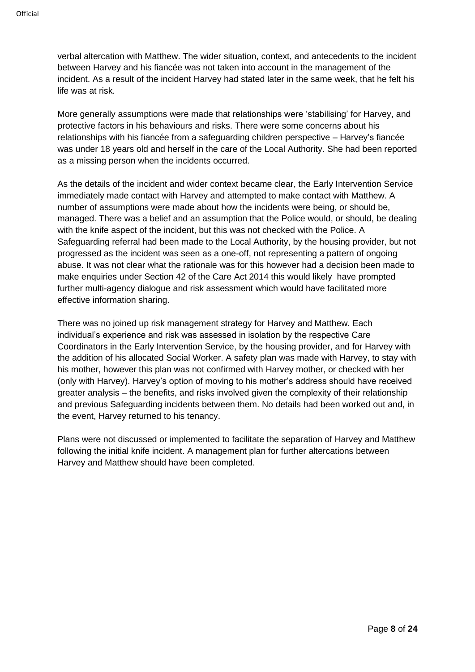verbal altercation with Matthew. The wider situation, context, and antecedents to the incident between Harvey and his fiancée was not taken into account in the management of the incident. As a result of the incident Harvey had stated later in the same week, that he felt his life was at risk.

More generally assumptions were made that relationships were 'stabilising' for Harvey, and protective factors in his behaviours and risks. There were some concerns about his relationships with his fiancée from a safeguarding children perspective – Harvey's fiancée was under 18 years old and herself in the care of the Local Authority. She had been reported as a missing person when the incidents occurred.

As the details of the incident and wider context became clear, the Early Intervention Service immediately made contact with Harvey and attempted to make contact with Matthew. A number of assumptions were made about how the incidents were being, or should be, managed. There was a belief and an assumption that the Police would, or should, be dealing with the knife aspect of the incident, but this was not checked with the Police. A Safeguarding referral had been made to the Local Authority, by the housing provider, but not progressed as the incident was seen as a one-off, not representing a pattern of ongoing abuse. It was not clear what the rationale was for this however had a decision been made to make enquiries under Section 42 of the Care Act 2014 this would likely have prompted further multi-agency dialogue and risk assessment which would have facilitated more effective information sharing.

There was no joined up risk management strategy for Harvey and Matthew. Each individual's experience and risk was assessed in isolation by the respective Care Coordinators in the Early Intervention Service, by the housing provider, and for Harvey with the addition of his allocated Social Worker. A safety plan was made with Harvey, to stay with his mother, however this plan was not confirmed with Harvey mother, or checked with her (only with Harvey). Harvey's option of moving to his mother's address should have received greater analysis – the benefits, and risks involved given the complexity of their relationship and previous Safeguarding incidents between them. No details had been worked out and, in the event, Harvey returned to his tenancy.

Plans were not discussed or implemented to facilitate the separation of Harvey and Matthew following the initial knife incident. A management plan for further altercations between Harvey and Matthew should have been completed.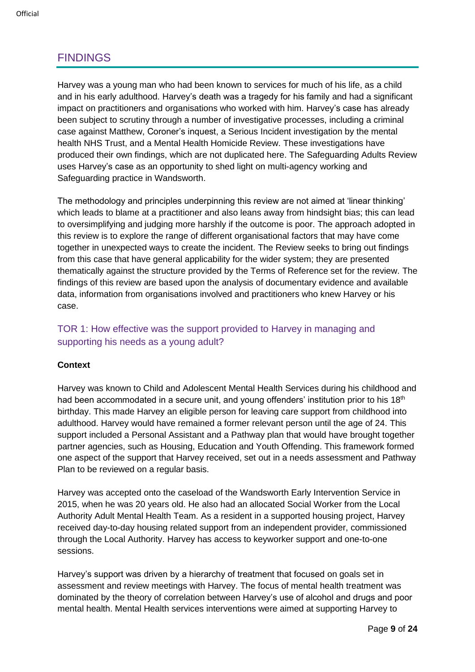# <span id="page-8-0"></span>FINDINGS

Harvey was a young man who had been known to services for much of his life, as a child and in his early adulthood. Harvey's death was a tragedy for his family and had a significant impact on practitioners and organisations who worked with him. Harvey's case has already been subject to scrutiny through a number of investigative processes, including a criminal case against Matthew, Coroner's inquest, a Serious Incident investigation by the mental health NHS Trust, and a Mental Health Homicide Review. These investigations have produced their own findings, which are not duplicated here. The Safeguarding Adults Review uses Harvey's case as an opportunity to shed light on multi-agency working and Safeguarding practice in Wandsworth.

The methodology and principles underpinning this review are not aimed at 'linear thinking' which leads to blame at a practitioner and also leans away from hindsight bias; this can lead to oversimplifying and judging more harshly if the outcome is poor. The approach adopted in this review is to explore the range of different organisational factors that may have come together in unexpected ways to create the incident. The Review seeks to bring out findings from this case that have general applicability for the wider system; they are presented thematically against the structure provided by the Terms of Reference set for the review. The findings of this review are based upon the analysis of documentary evidence and available data, information from organisations involved and practitioners who knew Harvey or his case.

# <span id="page-8-1"></span>TOR 1: How effective was the support provided to Harvey in managing and supporting his needs as a young adult?

# **Context**

Harvey was known to Child and Adolescent Mental Health Services during his childhood and had been accommodated in a secure unit, and young offenders' institution prior to his 18<sup>th</sup> birthday. This made Harvey an eligible person for leaving care support from childhood into adulthood. Harvey would have remained a former relevant person until the age of 24. This support included a Personal Assistant and a Pathway plan that would have brought together partner agencies, such as Housing, Education and Youth Offending. This framework formed one aspect of the support that Harvey received, set out in a needs assessment and Pathway Plan to be reviewed on a regular basis.

Harvey was accepted onto the caseload of the Wandsworth Early Intervention Service in 2015, when he was 20 years old. He also had an allocated Social Worker from the Local Authority Adult Mental Health Team. As a resident in a supported housing project, Harvey received day-to-day housing related support from an independent provider, commissioned through the Local Authority. Harvey has access to keyworker support and one-to-one sessions.

Harvey's support was driven by a hierarchy of treatment that focused on goals set in assessment and review meetings with Harvey. The focus of mental health treatment was dominated by the theory of correlation between Harvey's use of alcohol and drugs and poor mental health. Mental Health services interventions were aimed at supporting Harvey to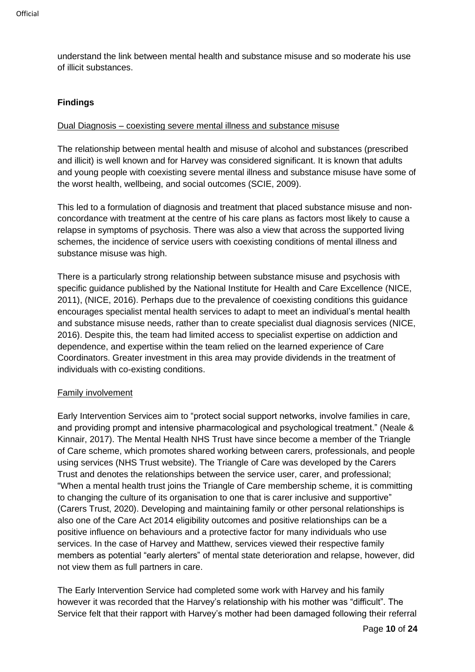understand the link between mental health and substance misuse and so moderate his use of illicit substances.

# **Findings**

### Dual Diagnosis – coexisting severe mental illness and substance misuse

The relationship between mental health and misuse of alcohol and substances (prescribed and illicit) is well known and for Harvey was considered significant. It is known that adults and young people with coexisting severe mental illness and substance misuse have some of the worst health, wellbeing, and social outcomes (SCIE, 2009).

This led to a formulation of diagnosis and treatment that placed substance misuse and nonconcordance with treatment at the centre of his care plans as factors most likely to cause a relapse in symptoms of psychosis. There was also a view that across the supported living schemes, the incidence of service users with coexisting conditions of mental illness and substance misuse was high.

There is a particularly strong relationship between substance misuse and psychosis with specific guidance published by the National Institute for Health and Care Excellence (NICE, 2011), (NICE, 2016). Perhaps due to the prevalence of coexisting conditions this guidance encourages specialist mental health services to adapt to meet an individual's mental health and substance misuse needs, rather than to create specialist dual diagnosis services (NICE, 2016). Despite this, the team had limited access to specialist expertise on addiction and dependence, and expertise within the team relied on the learned experience of Care Coordinators. Greater investment in this area may provide dividends in the treatment of individuals with co-existing conditions.

#### Family involvement

Early Intervention Services aim to "protect social support networks, involve families in care, and providing prompt and intensive pharmacological and psychological treatment." (Neale & Kinnair, 2017). The Mental Health NHS Trust have since become a member of the Triangle of Care scheme, which promotes shared working between carers, professionals, and people using services (NHS Trust website). The Triangle of Care was developed by the Carers Trust and denotes the relationships between the service user, carer, and professional; "When a mental health trust joins the Triangle of Care membership scheme, it is committing to changing the culture of its organisation to one that is carer inclusive and supportive" (Carers Trust, 2020). Developing and maintaining family or other personal relationships is also one of the Care Act 2014 eligibility outcomes and positive relationships can be a positive influence on behaviours and a protective factor for many individuals who use services. In the case of Harvey and Matthew, services viewed their respective family members as potential "early alerters" of mental state deterioration and relapse, however, did not view them as full partners in care.

The Early Intervention Service had completed some work with Harvey and his family however it was recorded that the Harvey's relationship with his mother was "difficult". The Service felt that their rapport with Harvey's mother had been damaged following their referral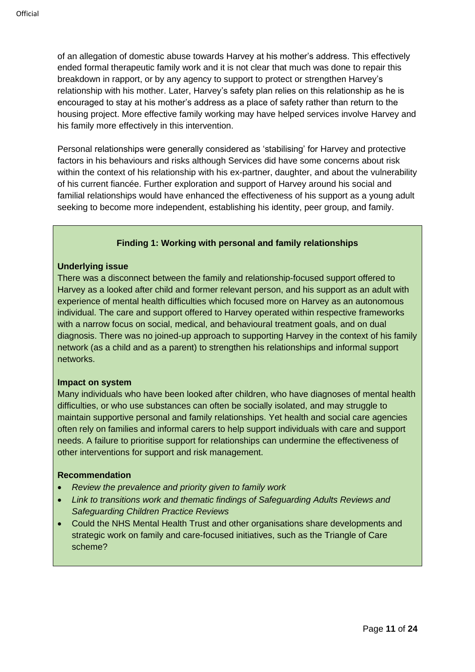of an allegation of domestic abuse towards Harvey at his mother's address. This effectively ended formal therapeutic family work and it is not clear that much was done to repair this breakdown in rapport, or by any agency to support to protect or strengthen Harvey's relationship with his mother. Later, Harvey's safety plan relies on this relationship as he is encouraged to stay at his mother's address as a place of safety rather than return to the housing project. More effective family working may have helped services involve Harvey and his family more effectively in this intervention.

Personal relationships were generally considered as 'stabilising' for Harvey and protective factors in his behaviours and risks although Services did have some concerns about risk within the context of his relationship with his ex-partner, daughter, and about the vulnerability of his current fiancée. Further exploration and support of Harvey around his social and familial relationships would have enhanced the effectiveness of his support as a young adult seeking to become more independent, establishing his identity, peer group, and family.

## **Finding 1: Working with personal and family relationships**

#### <span id="page-10-0"></span>**Underlying issue**

There was a disconnect between the family and relationship-focused support offered to Harvey as a looked after child and former relevant person, and his support as an adult with experience of mental health difficulties which focused more on Harvey as an autonomous individual. The care and support offered to Harvey operated within respective frameworks with a narrow focus on social, medical, and behavioural treatment goals, and on dual diagnosis. There was no joined-up approach to supporting Harvey in the context of his family network (as a child and as a parent) to strengthen his relationships and informal support networks.

#### **Impact on system**

Many individuals who have been looked after children, who have diagnoses of mental health difficulties, or who use substances can often be socially isolated, and may struggle to maintain supportive personal and family relationships. Yet health and social care agencies often rely on families and informal carers to help support individuals with care and support needs. A failure to prioritise support for relationships can undermine the effectiveness of other interventions for support and risk management.

#### **Recommendation**

- *Review the prevalence and priority given to family work*
- *Link to transitions work and thematic findings of Safeguarding Adults Reviews and Safeguarding Children Practice Reviews*
- Could the NHS Mental Health Trust and other organisations share developments and strategic work on family and care-focused initiatives, such as the Triangle of Care scheme?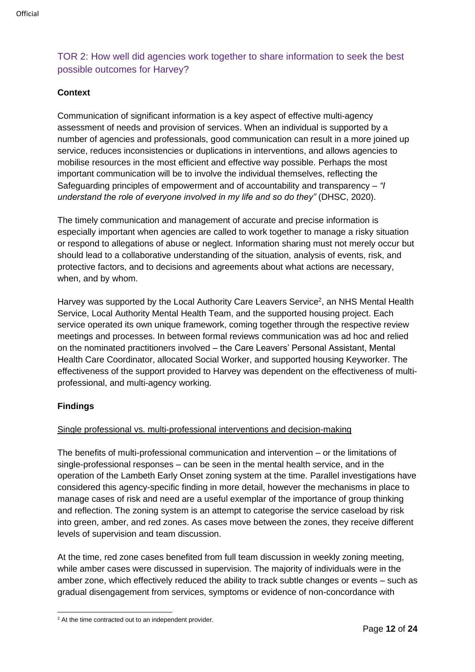# <span id="page-11-0"></span>TOR 2: How well did agencies work together to share information to seek the best possible outcomes for Harvey?

# **Context**

Communication of significant information is a key aspect of effective multi-agency assessment of needs and provision of services. When an individual is supported by a number of agencies and professionals, good communication can result in a more joined up service, reduces inconsistencies or duplications in interventions, and allows agencies to mobilise resources in the most efficient and effective way possible. Perhaps the most important communication will be to involve the individual themselves, reflecting the Safeguarding principles of empowerment and of accountability and transparency – *"I understand the role of everyone involved in my life and so do they"* (DHSC, 2020).

The timely communication and management of accurate and precise information is especially important when agencies are called to work together to manage a risky situation or respond to allegations of abuse or neglect. Information sharing must not merely occur but should lead to a collaborative understanding of the situation, analysis of events, risk, and protective factors, and to decisions and agreements about what actions are necessary, when, and by whom.

Harvey was supported by the Local Authority Care Leavers Service<sup>2</sup>, an NHS Mental Health Service, Local Authority Mental Health Team, and the supported housing project. Each service operated its own unique framework, coming together through the respective review meetings and processes. In between formal reviews communication was ad hoc and relied on the nominated practitioners involved – the Care Leavers' Personal Assistant, Mental Health Care Coordinator, allocated Social Worker, and supported housing Keyworker. The effectiveness of the support provided to Harvey was dependent on the effectiveness of multiprofessional, and multi-agency working.

# **Findings**

# Single professional vs. multi-professional interventions and decision-making

The benefits of multi-professional communication and intervention – or the limitations of single-professional responses – can be seen in the mental health service, and in the operation of the Lambeth Early Onset zoning system at the time. Parallel investigations have considered this agency-specific finding in more detail, however the mechanisms in place to manage cases of risk and need are a useful exemplar of the importance of group thinking and reflection. The zoning system is an attempt to categorise the service caseload by risk into green, amber, and red zones. As cases move between the zones, they receive different levels of supervision and team discussion.

At the time, red zone cases benefited from full team discussion in weekly zoning meeting, while amber cases were discussed in supervision. The majority of individuals were in the amber zone, which effectively reduced the ability to track subtle changes or events – such as gradual disengagement from services, symptoms or evidence of non-concordance with

 $2$  At the time contracted out to an independent provider.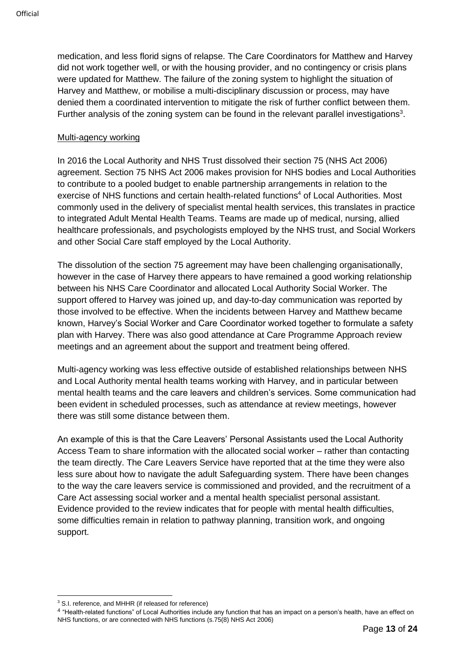medication, and less florid signs of relapse. The Care Coordinators for Matthew and Harvey did not work together well, or with the housing provider, and no contingency or crisis plans were updated for Matthew. The failure of the zoning system to highlight the situation of Harvey and Matthew, or mobilise a multi-disciplinary discussion or process, may have denied them a coordinated intervention to mitigate the risk of further conflict between them. Further analysis of the zoning system can be found in the relevant parallel investigations<sup>3</sup>.

#### Multi-agency working

In 2016 the Local Authority and NHS Trust dissolved their section 75 (NHS Act 2006) agreement. Section 75 NHS Act 2006 makes provision for NHS bodies and Local Authorities to contribute to a pooled budget to enable partnership arrangements in relation to the exercise of NHS functions and certain health-related functions<sup>4</sup> of Local Authorities. Most commonly used in the delivery of specialist mental health services, this translates in practice to integrated Adult Mental Health Teams. Teams are made up of medical, nursing, allied healthcare professionals, and psychologists employed by the NHS trust, and Social Workers and other Social Care staff employed by the Local Authority.

The dissolution of the section 75 agreement may have been challenging organisationally, however in the case of Harvey there appears to have remained a good working relationship between his NHS Care Coordinator and allocated Local Authority Social Worker. The support offered to Harvey was joined up, and day-to-day communication was reported by those involved to be effective. When the incidents between Harvey and Matthew became known, Harvey's Social Worker and Care Coordinator worked together to formulate a safety plan with Harvey. There was also good attendance at Care Programme Approach review meetings and an agreement about the support and treatment being offered.

Multi-agency working was less effective outside of established relationships between NHS and Local Authority mental health teams working with Harvey, and in particular between mental health teams and the care leavers and children's services. Some communication had been evident in scheduled processes, such as attendance at review meetings, however there was still some distance between them.

An example of this is that the Care Leavers' Personal Assistants used the Local Authority Access Team to share information with the allocated social worker – rather than contacting the team directly. The Care Leavers Service have reported that at the time they were also less sure about how to navigate the adult Safeguarding system. There have been changes to the way the care leavers service is commissioned and provided, and the recruitment of a Care Act assessing social worker and a mental health specialist personal assistant. Evidence provided to the review indicates that for people with mental health difficulties, some difficulties remain in relation to pathway planning, transition work, and ongoing support.

<sup>3</sup> S.I. reference, and MHHR (if released for reference)

<sup>&</sup>lt;sup>4</sup> "Health-related functions" of Local Authorities include any function that has an impact on a person's health, have an effect on NHS functions, or are connected with NHS functions (s.75(8) NHS Act 2006)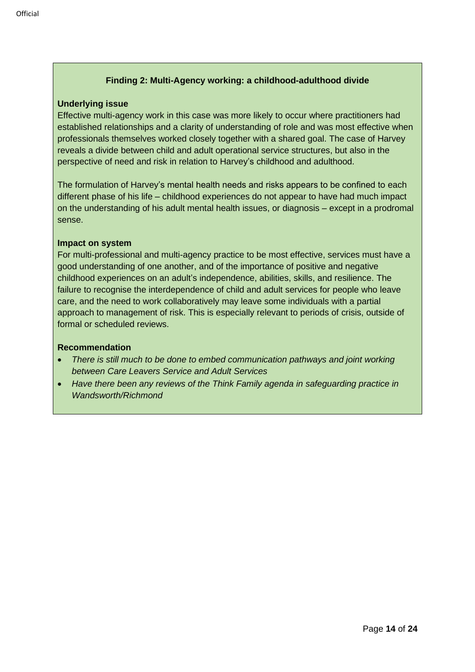# **Finding 2: Multi-Agency working: a childhood-adulthood divide**

#### <span id="page-13-0"></span>**Underlying issue**

Effective multi-agency work in this case was more likely to occur where practitioners had established relationships and a clarity of understanding of role and was most effective when professionals themselves worked closely together with a shared goal. The case of Harvey reveals a divide between child and adult operational service structures, but also in the perspective of need and risk in relation to Harvey's childhood and adulthood.

The formulation of Harvey's mental health needs and risks appears to be confined to each different phase of his life – childhood experiences do not appear to have had much impact on the understanding of his adult mental health issues, or diagnosis – except in a prodromal sense.

## **Impact on system**

For multi-professional and multi-agency practice to be most effective, services must have a good understanding of one another, and of the importance of positive and negative childhood experiences on an adult's independence, abilities, skills, and resilience. The failure to recognise the interdependence of child and adult services for people who leave care, and the need to work collaboratively may leave some individuals with a partial approach to management of risk. This is especially relevant to periods of crisis, outside of formal or scheduled reviews.

#### **Recommendation**

- *There is still much to be done to embed communication pathways and joint working between Care Leavers Service and Adult Services*
- *Have there been any reviews of the Think Family agenda in safeguarding practice in Wandsworth/Richmond*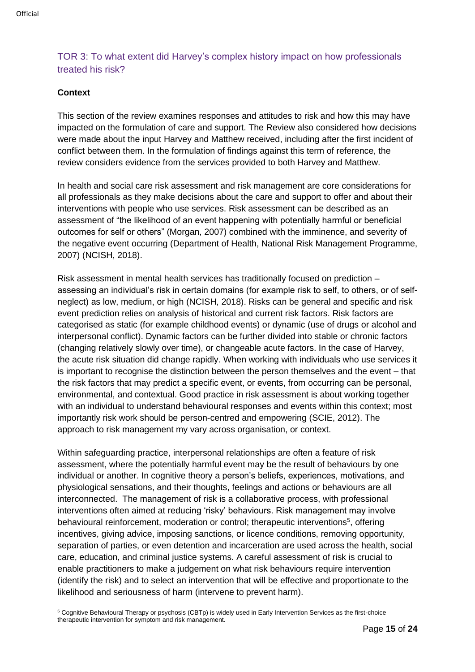# <span id="page-14-0"></span>TOR 3: To what extent did Harvey's complex history impact on how professionals treated his risk?

# **Context**

This section of the review examines responses and attitudes to risk and how this may have impacted on the formulation of care and support. The Review also considered how decisions were made about the input Harvey and Matthew received, including after the first incident of conflict between them. In the formulation of findings against this term of reference, the review considers evidence from the services provided to both Harvey and Matthew.

In health and social care risk assessment and risk management are core considerations for all professionals as they make decisions about the care and support to offer and about their interventions with people who use services. Risk assessment can be described as an assessment of "the likelihood of an event happening with potentially harmful or beneficial outcomes for self or others" (Morgan, 2007) combined with the imminence, and severity of the negative event occurring (Department of Health, National Risk Management Programme, 2007) (NCISH, 2018).

Risk assessment in mental health services has traditionally focused on prediction – assessing an individual's risk in certain domains (for example risk to self, to others, or of selfneglect) as low, medium, or high (NCISH, 2018). Risks can be general and specific and risk event prediction relies on analysis of historical and current risk factors. Risk factors are categorised as static (for example childhood events) or dynamic (use of drugs or alcohol and interpersonal conflict). Dynamic factors can be further divided into stable or chronic factors (changing relatively slowly over time), or changeable acute factors. In the case of Harvey, the acute risk situation did change rapidly. When working with individuals who use services it is important to recognise the distinction between the person themselves and the event – that the risk factors that may predict a specific event, or events, from occurring can be personal, environmental, and contextual. Good practice in risk assessment is about working together with an individual to understand behavioural responses and events within this context; most importantly risk work should be person-centred and empowering (SCIE, 2012). The approach to risk management my vary across organisation, or context.

Within safeguarding practice, interpersonal relationships are often a feature of risk assessment, where the potentially harmful event may be the result of behaviours by one individual or another. In cognitive theory a person's beliefs, experiences, motivations, and physiological sensations, and their thoughts, feelings and actions or behaviours are all interconnected. The management of risk is a collaborative process, with professional interventions often aimed at reducing 'risky' behaviours. Risk management may involve behavioural reinforcement, moderation or control; therapeutic interventions<sup>5</sup>, offering incentives, giving advice, imposing sanctions, or licence conditions, removing opportunity, separation of parties, or even detention and incarceration are used across the health, social care, education, and criminal justice systems. A careful assessment of risk is crucial to enable practitioners to make a judgement on what risk behaviours require intervention (identify the risk) and to select an intervention that will be effective and proportionate to the likelihood and seriousness of harm (intervene to prevent harm).

<sup>5</sup> Cognitive Behavioural Therapy or psychosis (CBTp) is widely used in Early Intervention Services as the first-choice therapeutic intervention for symptom and risk management.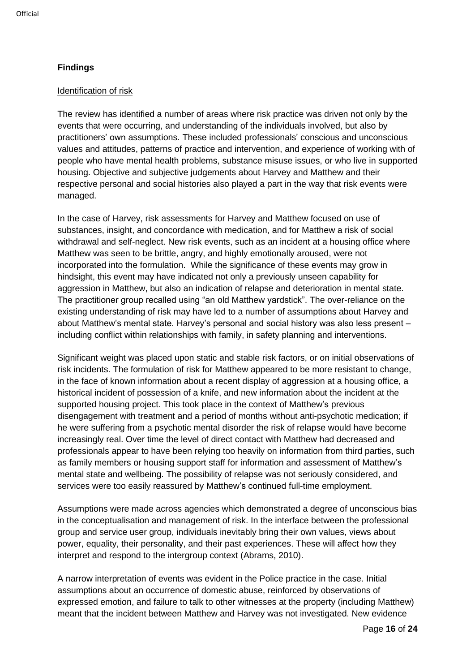# **Findings**

### Identification of risk

The review has identified a number of areas where risk practice was driven not only by the events that were occurring, and understanding of the individuals involved, but also by practitioners' own assumptions. These included professionals' conscious and unconscious values and attitudes, patterns of practice and intervention, and experience of working with of people who have mental health problems, substance misuse issues, or who live in supported housing. Objective and subjective judgements about Harvey and Matthew and their respective personal and social histories also played a part in the way that risk events were managed.

In the case of Harvey, risk assessments for Harvey and Matthew focused on use of substances, insight, and concordance with medication, and for Matthew a risk of social withdrawal and self-neglect. New risk events, such as an incident at a housing office where Matthew was seen to be brittle, angry, and highly emotionally aroused, were not incorporated into the formulation. While the significance of these events may grow in hindsight, this event may have indicated not only a previously unseen capability for aggression in Matthew, but also an indication of relapse and deterioration in mental state. The practitioner group recalled using "an old Matthew yardstick". The over-reliance on the existing understanding of risk may have led to a number of assumptions about Harvey and about Matthew's mental state. Harvey's personal and social history was also less present – including conflict within relationships with family, in safety planning and interventions.

Significant weight was placed upon static and stable risk factors, or on initial observations of risk incidents. The formulation of risk for Matthew appeared to be more resistant to change, in the face of known information about a recent display of aggression at a housing office, a historical incident of possession of a knife, and new information about the incident at the supported housing project. This took place in the context of Matthew's previous disengagement with treatment and a period of months without anti-psychotic medication; if he were suffering from a psychotic mental disorder the risk of relapse would have become increasingly real. Over time the level of direct contact with Matthew had decreased and professionals appear to have been relying too heavily on information from third parties, such as family members or housing support staff for information and assessment of Matthew's mental state and wellbeing. The possibility of relapse was not seriously considered, and services were too easily reassured by Matthew's continued full-time employment.

Assumptions were made across agencies which demonstrated a degree of unconscious bias in the conceptualisation and management of risk. In the interface between the professional group and service user group, individuals inevitably bring their own values, views about power, equality, their personality, and their past experiences. These will affect how they interpret and respond to the intergroup context (Abrams, 2010).

A narrow interpretation of events was evident in the Police practice in the case. Initial assumptions about an occurrence of domestic abuse, reinforced by observations of expressed emotion, and failure to talk to other witnesses at the property (including Matthew) meant that the incident between Matthew and Harvey was not investigated. New evidence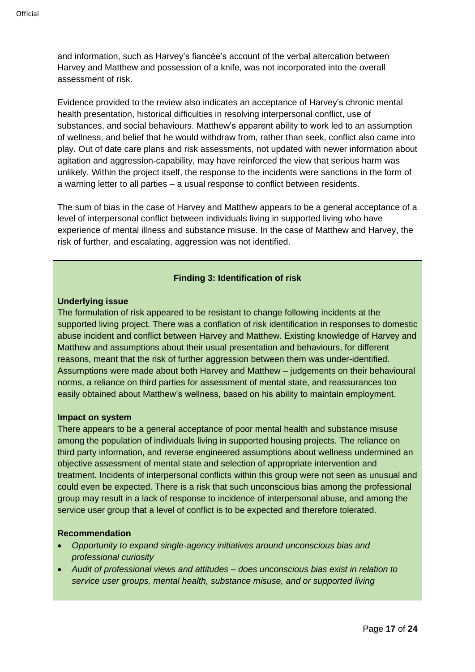and information, such as Harvey's fiancée's account of the verbal altercation between Harvey and Matthew and possession of a knife, was not incorporated into the overall assessment of risk.

Evidence provided to the review also indicates an acceptance of Harvey's chronic mental health presentation, historical difficulties in resolving interpersonal conflict, use of substances, and social behaviours. Matthew's apparent ability to work led to an assumption of wellness, and belief that he would withdraw from, rather than seek, conflict also came into play. Out of date care plans and risk assessments, not updated with newer information about agitation and aggression-capability, may have reinforced the view that serious harm was unlikely. Within the project itself, the response to the incidents were sanctions in the form of a warning letter to all parties – a usual response to conflict between residents.

The sum of bias in the case of Harvey and Matthew appears to be a general acceptance of a level of interpersonal conflict between individuals living in supported living who have experience of mental illness and substance misuse. In the case of Matthew and Harvey, the risk of further, and escalating, aggression was not identified.

# **Finding 3: Identification of risk**

#### <span id="page-16-0"></span>**Underlying issue**

The formulation of risk appeared to be resistant to change following incidents at the supported living project. There was a conflation of risk identification in responses to domestic abuse incident and conflict between Harvey and Matthew. Existing knowledge of Harvey and Matthew and assumptions about their usual presentation and behaviours, for different reasons, meant that the risk of further aggression between them was under-identified. Assumptions were made about both Harvey and Matthew – judgements on their behavioural norms, a reliance on third parties for assessment of mental state, and reassurances too easily obtained about Matthew's wellness, based on his ability to maintain employment.

#### **Impact on system**

There appears to be a general acceptance of poor mental health and substance misuse among the population of individuals living in supported housing projects. The reliance on third party information, and reverse engineered assumptions about wellness undermined an objective assessment of mental state and selection of appropriate intervention and treatment. Incidents of interpersonal conflicts within this group were not seen as unusual and could even be expected. There is a risk that such unconscious bias among the professional group may result in a lack of response to incidence of interpersonal abuse, and among the service user group that a level of conflict is to be expected and therefore tolerated.

#### **Recommendation**

- *Opportunity to expand single-agency initiatives around unconscious bias and professional curiosity*
- *Audit of professional views and attitudes – does unconscious bias exist in relation to service user groups, mental health, substance misuse, and or supported living*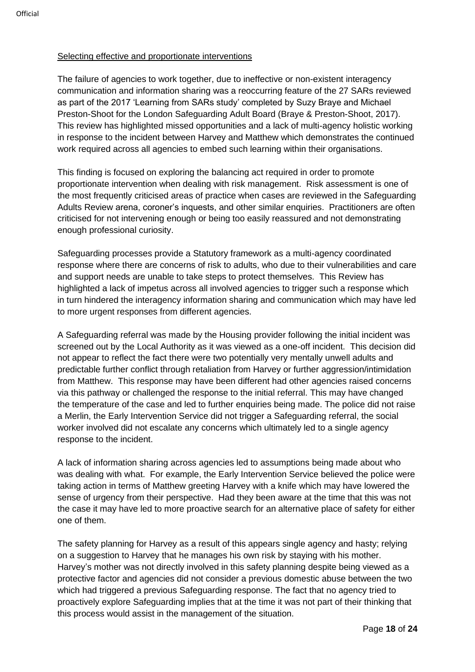## Selecting effective and proportionate interventions

The failure of agencies to work together, due to ineffective or non-existent interagency communication and information sharing was a reoccurring feature of the 27 SARs reviewed as part of the 2017 'Learning from SARs study' completed by Suzy Braye and Michael Preston-Shoot for the London Safeguarding Adult Board (Braye & Preston-Shoot, 2017). This review has highlighted missed opportunities and a lack of multi-agency holistic working in response to the incident between Harvey and Matthew which demonstrates the continued work required across all agencies to embed such learning within their organisations.

This finding is focused on exploring the balancing act required in order to promote proportionate intervention when dealing with risk management. Risk assessment is one of the most frequently criticised areas of practice when cases are reviewed in the Safeguarding Adults Review arena, coroner's inquests, and other similar enquiries. Practitioners are often criticised for not intervening enough or being too easily reassured and not demonstrating enough professional curiosity.

Safeguarding processes provide a Statutory framework as a multi-agency coordinated response where there are concerns of risk to adults, who due to their vulnerabilities and care and support needs are unable to take steps to protect themselves. This Review has highlighted a lack of impetus across all involved agencies to trigger such a response which in turn hindered the interagency information sharing and communication which may have led to more urgent responses from different agencies.

A Safeguarding referral was made by the Housing provider following the initial incident was screened out by the Local Authority as it was viewed as a one-off incident. This decision did not appear to reflect the fact there were two potentially very mentally unwell adults and predictable further conflict through retaliation from Harvey or further aggression/intimidation from Matthew. This response may have been different had other agencies raised concerns via this pathway or challenged the response to the initial referral. This may have changed the temperature of the case and led to further enquiries being made. The police did not raise a Merlin, the Early Intervention Service did not trigger a Safeguarding referral, the social worker involved did not escalate any concerns which ultimately led to a single agency response to the incident.

A lack of information sharing across agencies led to assumptions being made about who was dealing with what. For example, the Early Intervention Service believed the police were taking action in terms of Matthew greeting Harvey with a knife which may have lowered the sense of urgency from their perspective. Had they been aware at the time that this was not the case it may have led to more proactive search for an alternative place of safety for either one of them.

The safety planning for Harvey as a result of this appears single agency and hasty; relying on a suggestion to Harvey that he manages his own risk by staying with his mother. Harvey's mother was not directly involved in this safety planning despite being viewed as a protective factor and agencies did not consider a previous domestic abuse between the two which had triggered a previous Safeguarding response. The fact that no agency tried to proactively explore Safeguarding implies that at the time it was not part of their thinking that this process would assist in the management of the situation.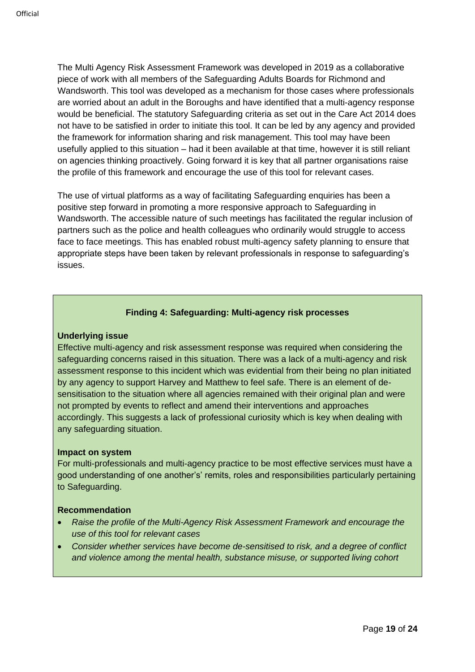The Multi Agency Risk Assessment Framework was developed in 2019 as a collaborative piece of work with all members of the Safeguarding Adults Boards for Richmond and Wandsworth. This tool was developed as a mechanism for those cases where professionals are worried about an adult in the Boroughs and have identified that a multi-agency response would be beneficial. The statutory Safeguarding criteria as set out in the Care Act 2014 does not have to be satisfied in order to initiate this tool. It can be led by any agency and provided the framework for information sharing and risk management. This tool may have been usefully applied to this situation – had it been available at that time, however it is still reliant on agencies thinking proactively. Going forward it is key that all partner organisations raise the profile of this framework and encourage the use of this tool for relevant cases.

The use of virtual platforms as a way of facilitating Safeguarding enquiries has been a positive step forward in promoting a more responsive approach to Safeguarding in Wandsworth. The accessible nature of such meetings has facilitated the regular inclusion of partners such as the police and health colleagues who ordinarily would struggle to access face to face meetings. This has enabled robust multi-agency safety planning to ensure that appropriate steps have been taken by relevant professionals in response to safeguarding's issues.

#### **Finding 4: Safeguarding: Multi-agency risk processes**

#### <span id="page-18-0"></span>**Underlying issue**

Effective multi-agency and risk assessment response was required when considering the safeguarding concerns raised in this situation. There was a lack of a multi-agency and risk assessment response to this incident which was evidential from their being no plan initiated by any agency to support Harvey and Matthew to feel safe. There is an element of desensitisation to the situation where all agencies remained with their original plan and were not prompted by events to reflect and amend their interventions and approaches accordingly. This suggests a lack of professional curiosity which is key when dealing with any safeguarding situation.

#### **Impact on system**

For multi-professionals and multi-agency practice to be most effective services must have a good understanding of one another's' remits, roles and responsibilities particularly pertaining to Safeguarding.

#### **Recommendation**

- *Raise the profile of the Multi-Agency Risk Assessment Framework and encourage the use of this tool for relevant cases*
- *Consider whether services have become de-sensitised to risk, and a degree of conflict and violence among the mental health, substance misuse, or supported living cohort*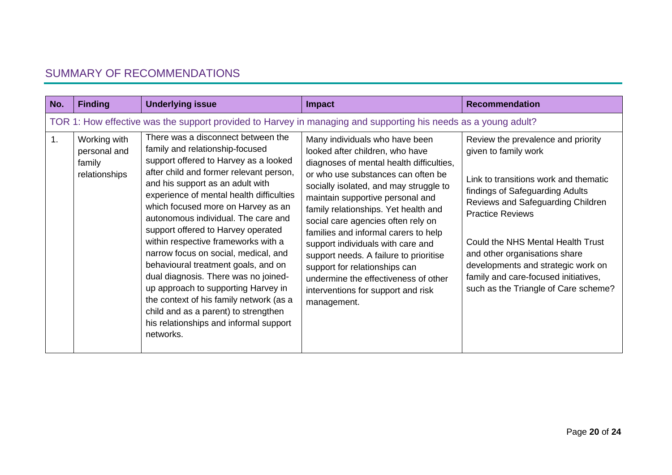# SUMMARY OF RECOMMENDATIONS

<span id="page-19-0"></span>

| No. | <b>Finding</b>                                                                                                 | <b>Underlying issue</b>                                                                                                                                                                                                                                                                                                                                                                                                                                                                                                                                                                                                                                                                                     | <b>Impact</b>                                                                                                                                                                                                                                                                                                                                                                                                                                                                                                                                                        | <b>Recommendation</b>                                                                                                                                                                                                                                                                                                                                                                              |  |
|-----|----------------------------------------------------------------------------------------------------------------|-------------------------------------------------------------------------------------------------------------------------------------------------------------------------------------------------------------------------------------------------------------------------------------------------------------------------------------------------------------------------------------------------------------------------------------------------------------------------------------------------------------------------------------------------------------------------------------------------------------------------------------------------------------------------------------------------------------|----------------------------------------------------------------------------------------------------------------------------------------------------------------------------------------------------------------------------------------------------------------------------------------------------------------------------------------------------------------------------------------------------------------------------------------------------------------------------------------------------------------------------------------------------------------------|----------------------------------------------------------------------------------------------------------------------------------------------------------------------------------------------------------------------------------------------------------------------------------------------------------------------------------------------------------------------------------------------------|--|
|     | TOR 1: How effective was the support provided to Harvey in managing and supporting his needs as a young adult? |                                                                                                                                                                                                                                                                                                                                                                                                                                                                                                                                                                                                                                                                                                             |                                                                                                                                                                                                                                                                                                                                                                                                                                                                                                                                                                      |                                                                                                                                                                                                                                                                                                                                                                                                    |  |
| 1.  | Working with<br>personal and<br>family<br>relationships                                                        | There was a disconnect between the<br>family and relationship-focused<br>support offered to Harvey as a looked<br>after child and former relevant person,<br>and his support as an adult with<br>experience of mental health difficulties<br>which focused more on Harvey as an<br>autonomous individual. The care and<br>support offered to Harvey operated<br>within respective frameworks with a<br>narrow focus on social, medical, and<br>behavioural treatment goals, and on<br>dual diagnosis. There was no joined-<br>up approach to supporting Harvey in<br>the context of his family network (as a<br>child and as a parent) to strengthen<br>his relationships and informal support<br>networks. | Many individuals who have been<br>looked after children, who have<br>diagnoses of mental health difficulties,<br>or who use substances can often be<br>socially isolated, and may struggle to<br>maintain supportive personal and<br>family relationships. Yet health and<br>social care agencies often rely on<br>families and informal carers to help<br>support individuals with care and<br>support needs. A failure to prioritise<br>support for relationships can<br>undermine the effectiveness of other<br>interventions for support and risk<br>management. | Review the prevalence and priority<br>given to family work<br>Link to transitions work and thematic<br>findings of Safeguarding Adults<br>Reviews and Safeguarding Children<br><b>Practice Reviews</b><br>Could the NHS Mental Health Trust<br>and other organisations share<br>developments and strategic work on<br>family and care-focused initiatives,<br>such as the Triangle of Care scheme? |  |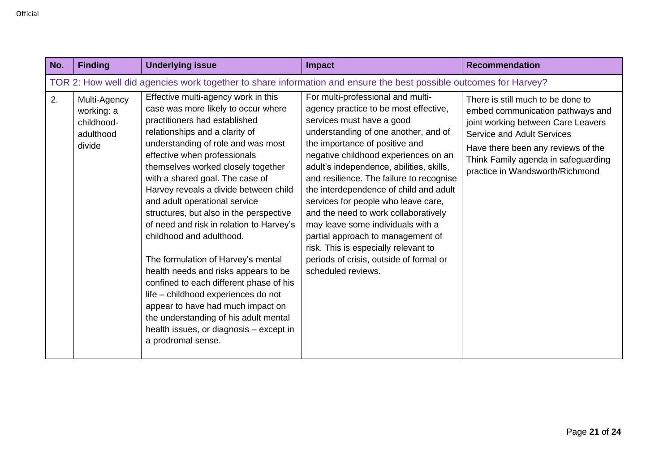| No. | <b>Finding</b>                                                                                                    | <b>Underlying issue</b>                                                                                                                                                                                                                                                                                                                                                                                                                                                                                                                                                                                                                                                                                                                                                                                  | Impact                                                                                                                                                                                                                                                                                                                                                                                                                                                                                                                                                                                                                        | <b>Recommendation</b>                                                                                                                                                                                                                                            |  |
|-----|-------------------------------------------------------------------------------------------------------------------|----------------------------------------------------------------------------------------------------------------------------------------------------------------------------------------------------------------------------------------------------------------------------------------------------------------------------------------------------------------------------------------------------------------------------------------------------------------------------------------------------------------------------------------------------------------------------------------------------------------------------------------------------------------------------------------------------------------------------------------------------------------------------------------------------------|-------------------------------------------------------------------------------------------------------------------------------------------------------------------------------------------------------------------------------------------------------------------------------------------------------------------------------------------------------------------------------------------------------------------------------------------------------------------------------------------------------------------------------------------------------------------------------------------------------------------------------|------------------------------------------------------------------------------------------------------------------------------------------------------------------------------------------------------------------------------------------------------------------|--|
|     | TOR 2: How well did agencies work together to share information and ensure the best possible outcomes for Harvey? |                                                                                                                                                                                                                                                                                                                                                                                                                                                                                                                                                                                                                                                                                                                                                                                                          |                                                                                                                                                                                                                                                                                                                                                                                                                                                                                                                                                                                                                               |                                                                                                                                                                                                                                                                  |  |
| 2.  | Multi-Agency<br>working: a<br>childhood-<br>adulthood<br>divide                                                   | Effective multi-agency work in this<br>case was more likely to occur where<br>practitioners had established<br>relationships and a clarity of<br>understanding of role and was most<br>effective when professionals<br>themselves worked closely together<br>with a shared goal. The case of<br>Harvey reveals a divide between child<br>and adult operational service<br>structures, but also in the perspective<br>of need and risk in relation to Harvey's<br>childhood and adulthood.<br>The formulation of Harvey's mental<br>health needs and risks appears to be<br>confined to each different phase of his<br>life - childhood experiences do not<br>appear to have had much impact on<br>the understanding of his adult mental<br>health issues, or diagnosis - except in<br>a prodromal sense. | For multi-professional and multi-<br>agency practice to be most effective,<br>services must have a good<br>understanding of one another, and of<br>the importance of positive and<br>negative childhood experiences on an<br>adult's independence, abilities, skills,<br>and resilience. The failure to recognise<br>the interdependence of child and adult<br>services for people who leave care,<br>and the need to work collaboratively<br>may leave some individuals with a<br>partial approach to management of<br>risk. This is especially relevant to<br>periods of crisis, outside of formal or<br>scheduled reviews. | There is still much to be done to<br>embed communication pathways and<br>joint working between Care Leavers<br><b>Service and Adult Services</b><br>Have there been any reviews of the<br>Think Family agenda in safeguarding<br>practice in Wandsworth/Richmond |  |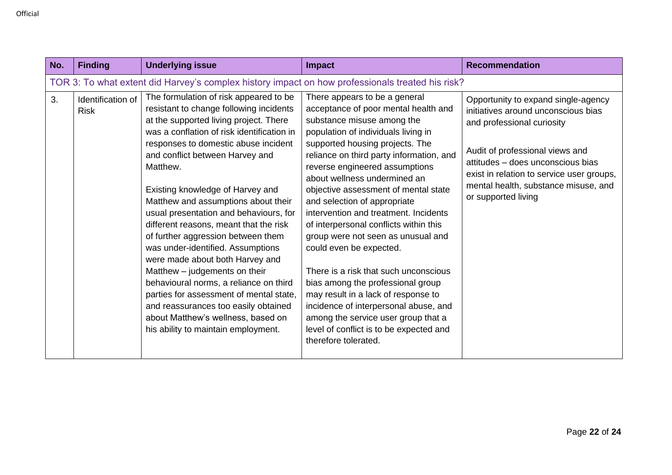| No. | <b>Finding</b>                                                                                   | <b>Underlying issue</b>                                                                                                                                                                                                                                                                                                                                                                                                                                                                                                                                                                                                                                                                                                                                                                  | Impact                                                                                                                                                                                                                                                                                                                                                                                                                                                                                                                                                                                                                                                                                                                                                                                          | <b>Recommendation</b>                                                                                                                                                                                                                                                                        |  |
|-----|--------------------------------------------------------------------------------------------------|------------------------------------------------------------------------------------------------------------------------------------------------------------------------------------------------------------------------------------------------------------------------------------------------------------------------------------------------------------------------------------------------------------------------------------------------------------------------------------------------------------------------------------------------------------------------------------------------------------------------------------------------------------------------------------------------------------------------------------------------------------------------------------------|-------------------------------------------------------------------------------------------------------------------------------------------------------------------------------------------------------------------------------------------------------------------------------------------------------------------------------------------------------------------------------------------------------------------------------------------------------------------------------------------------------------------------------------------------------------------------------------------------------------------------------------------------------------------------------------------------------------------------------------------------------------------------------------------------|----------------------------------------------------------------------------------------------------------------------------------------------------------------------------------------------------------------------------------------------------------------------------------------------|--|
|     | TOR 3: To what extent did Harvey's complex history impact on how professionals treated his risk? |                                                                                                                                                                                                                                                                                                                                                                                                                                                                                                                                                                                                                                                                                                                                                                                          |                                                                                                                                                                                                                                                                                                                                                                                                                                                                                                                                                                                                                                                                                                                                                                                                 |                                                                                                                                                                                                                                                                                              |  |
| 3.  | Identification of<br><b>Risk</b>                                                                 | The formulation of risk appeared to be<br>resistant to change following incidents<br>at the supported living project. There<br>was a conflation of risk identification in<br>responses to domestic abuse incident<br>and conflict between Harvey and<br>Matthew.<br>Existing knowledge of Harvey and<br>Matthew and assumptions about their<br>usual presentation and behaviours, for<br>different reasons, meant that the risk<br>of further aggression between them<br>was under-identified. Assumptions<br>were made about both Harvey and<br>Matthew - judgements on their<br>behavioural norms, a reliance on third<br>parties for assessment of mental state,<br>and reassurances too easily obtained<br>about Matthew's wellness, based on<br>his ability to maintain employment. | There appears to be a general<br>acceptance of poor mental health and<br>substance misuse among the<br>population of individuals living in<br>supported housing projects. The<br>reliance on third party information, and<br>reverse engineered assumptions<br>about wellness undermined an<br>objective assessment of mental state<br>and selection of appropriate<br>intervention and treatment. Incidents<br>of interpersonal conflicts within this<br>group were not seen as unusual and<br>could even be expected.<br>There is a risk that such unconscious<br>bias among the professional group<br>may result in a lack of response to<br>incidence of interpersonal abuse, and<br>among the service user group that a<br>level of conflict is to be expected and<br>therefore tolerated. | Opportunity to expand single-agency<br>initiatives around unconscious bias<br>and professional curiosity<br>Audit of professional views and<br>attitudes - does unconscious bias<br>exist in relation to service user groups,<br>mental health, substance misuse, and<br>or supported living |  |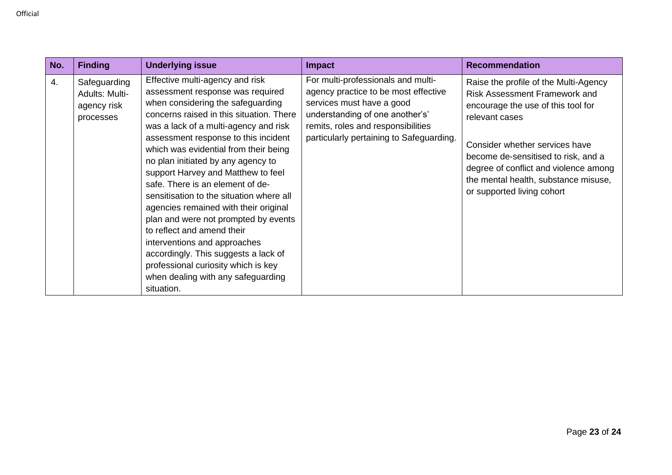| No. | <b>Finding</b>                                             | <b>Underlying issue</b>                                                                                                                                                                                                                                                                                                                                                                                                                                                                                                                                                                                                                                                                                                      | <b>Impact</b>                                                                                                                                                                                                                | <b>Recommendation</b>                                                                                                                                                                                                                                                                                                         |
|-----|------------------------------------------------------------|------------------------------------------------------------------------------------------------------------------------------------------------------------------------------------------------------------------------------------------------------------------------------------------------------------------------------------------------------------------------------------------------------------------------------------------------------------------------------------------------------------------------------------------------------------------------------------------------------------------------------------------------------------------------------------------------------------------------------|------------------------------------------------------------------------------------------------------------------------------------------------------------------------------------------------------------------------------|-------------------------------------------------------------------------------------------------------------------------------------------------------------------------------------------------------------------------------------------------------------------------------------------------------------------------------|
| 4.  | Safeguarding<br>Adults: Multi-<br>agency risk<br>processes | Effective multi-agency and risk<br>assessment response was required<br>when considering the safeguarding<br>concerns raised in this situation. There<br>was a lack of a multi-agency and risk<br>assessment response to this incident<br>which was evidential from their being<br>no plan initiated by any agency to<br>support Harvey and Matthew to feel<br>safe. There is an element of de-<br>sensitisation to the situation where all<br>agencies remained with their original<br>plan and were not prompted by events<br>to reflect and amend their<br>interventions and approaches<br>accordingly. This suggests a lack of<br>professional curiosity which is key<br>when dealing with any safeguarding<br>situation. | For multi-professionals and multi-<br>agency practice to be most effective<br>services must have a good<br>understanding of one another's'<br>remits, roles and responsibilities<br>particularly pertaining to Safeguarding. | Raise the profile of the Multi-Agency<br><b>Risk Assessment Framework and</b><br>encourage the use of this tool for<br>relevant cases<br>Consider whether services have<br>become de-sensitised to risk, and a<br>degree of conflict and violence among<br>the mental health, substance misuse,<br>or supported living cohort |